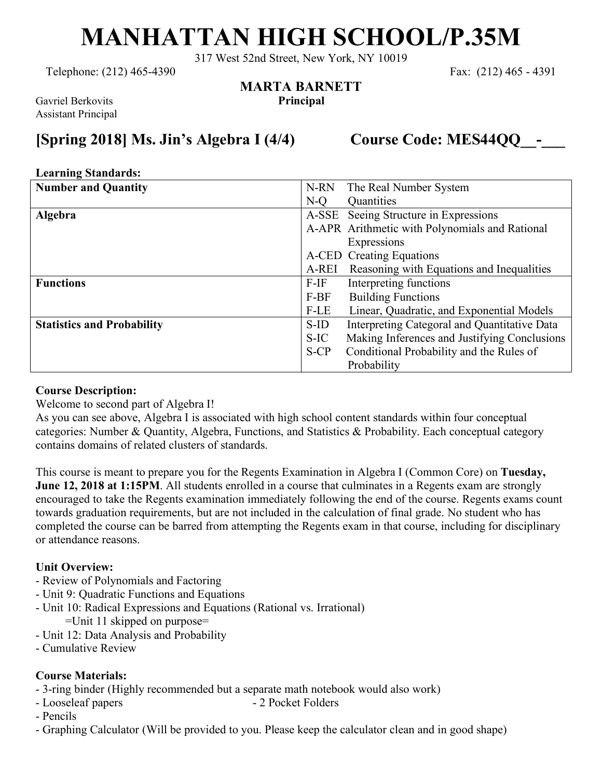# **MANHATTAN HIGH SCHOOL/P.35M**

317 West 52nd Street, New York, NY 10019

**MARTA BARNETT**

Telephone: (212) 465-4390 Fax: (212) 465 - 4391

Gavriel Berkovits **Principal** Assistant Principal

### **[Spring 2018] Ms. Jin's Algebra I (4/4) Course Code: MES44QQ\_\_-\_\_\_**

#### **Learning Standards:**

| <b>Number and Quantity</b>        | The Real Number System<br>N-RN                       |
|-----------------------------------|------------------------------------------------------|
|                                   | $N-O$<br>Quantities                                  |
| Algebra                           | A-SSE Seeing Structure in Expressions                |
|                                   | A-APR Arithmetic with Polynomials and Rational       |
|                                   | Expressions                                          |
|                                   | A-CED Creating Equations                             |
|                                   | Reasoning with Equations and Inequalities<br>A-REI   |
| <b>Functions</b>                  | $F-IF$<br>Interpreting functions                     |
|                                   | <b>Building Functions</b><br>$F-BF$                  |
|                                   | Linear, Quadratic, and Exponential Models<br>F-LE    |
| <b>Statistics and Probability</b> | Interpreting Categoral and Quantitative Data<br>S-ID |
|                                   | Making Inferences and Justifying Conclusions<br>S-IC |
|                                   | Conditional Probability and the Rules of<br>$S-CP$   |
|                                   | Probability                                          |

#### **Course Description:**

Welcome to second part of Algebra I!

As you can see above, Algebra I is associated with high school content standards within four conceptual categories: Number & Quantity, Algebra, Functions, and Statistics & Probability. Each conceptual category contains domains of related clusters of standards.

This course is meant to prepare you for the Regents Examination in Algebra I (Common Core) on **Tuesday, June 12, 2018 at 1:15PM**. All students enrolled in a course that culminates in a Regents exam are strongly encouraged to take the Regents examination immediately following the end of the course. Regents exams count towards graduation requirements, but are not included in the calculation of final grade. No student who has completed the course can be barred from attempting the Regents exam in that course, including for disciplinary or attendance reasons.

#### **Unit Overview:**

- Review of Polynomials and Factoring
- Unit 9: Quadratic Functions and Equations
- Unit 10: Radical Expressions and Equations (Rational vs. Irrational)
	- =Unit 11 skipped on purpose=
- Unit 12: Data Analysis and Probability
- Cumulative Review

#### **Course Materials:**

- 3-ring binder (Highly recommended but a separate math notebook would also work)
- Looseleaf papers 2 Pocket Folders
- Pencils
- Graphing Calculator (Will be provided to you. Please keep the calculator clean and in good shape)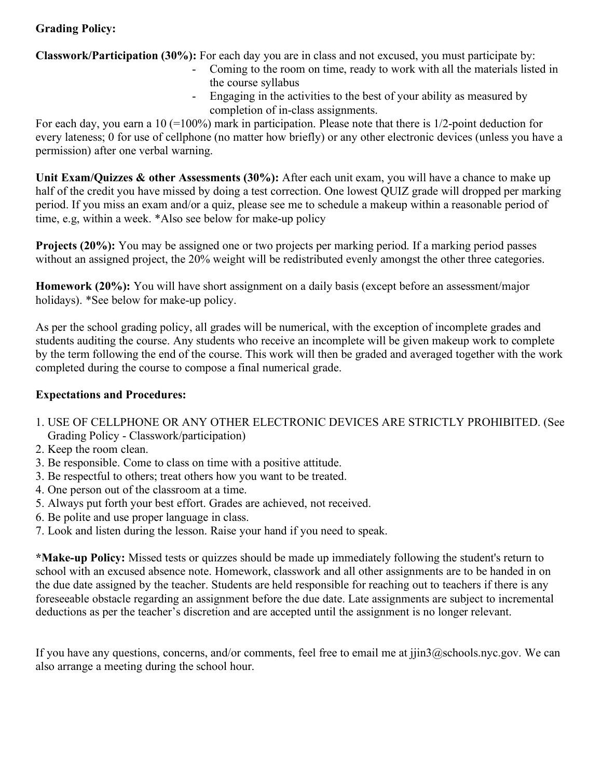#### **Grading Policy:**

**Classwork/Participation (30%):** For each day you are in class and not excused, you must participate by:

- Coming to the room on time, ready to work with all the materials listed in the course syllabus
- Engaging in the activities to the best of your ability as measured by completion of in-class assignments.

For each day, you earn a 10 (=100%) mark in participation. Please note that there is 1/2-point deduction for every lateness; 0 for use of cellphone (no matter how briefly) or any other electronic devices (unless you have a permission) after one verbal warning.

**Unit Exam/Quizzes & other Assessments (30%):** After each unit exam, you will have a chance to make up half of the credit you have missed by doing a test correction. One lowest QUIZ grade will dropped per marking period. If you miss an exam and/or a quiz, please see me to schedule a makeup within a reasonable period of time, e.g, within a week. \*Also see below for make-up policy

**Projects (20%):** You may be assigned one or two projects per marking period. If a marking period passes without an assigned project, the 20% weight will be redistributed evenly amongst the other three categories.

**Homework (20%):** You will have short assignment on a daily basis (except before an assessment/major holidays). \*See below for make-up policy.

As per the school grading policy, all grades will be numerical, with the exception of incomplete grades and students auditing the course. Any students who receive an incomplete will be given makeup work to complete by the term following the end of the course. This work will then be graded and averaged together with the work completed during the course to compose a final numerical grade.

#### **Expectations and Procedures:**

- 1. USE OF CELLPHONE OR ANY OTHER ELECTRONIC DEVICES ARE STRICTLY PROHIBITED. (See Grading Policy - Classwork/participation)
- 2. Keep the room clean.
- 3. Be responsible. Come to class on time with a positive attitude.
- 3. Be respectful to others; treat others how you want to be treated.
- 4. One person out of the classroom at a time.
- 5. Always put forth your best effort. Grades are achieved, not received.
- 6. Be polite and use proper language in class.
- 7. Look and listen during the lesson. Raise your hand if you need to speak.

**\*Make-up Policy:** Missed tests or quizzes should be made up immediately following the student's return to school with an excused absence note. Homework, classwork and all other assignments are to be handed in on the due date assigned by the teacher. Students are held responsible for reaching out to teachers if there is any foreseeable obstacle regarding an assignment before the due date. Late assignments are subject to incremental deductions as per the teacher's discretion and are accepted until the assignment is no longer relevant.

If you have any questions, concerns, and/or comments, feel free to email me at jjin3@schools.nyc.gov. We can also arrange a meeting during the school hour.